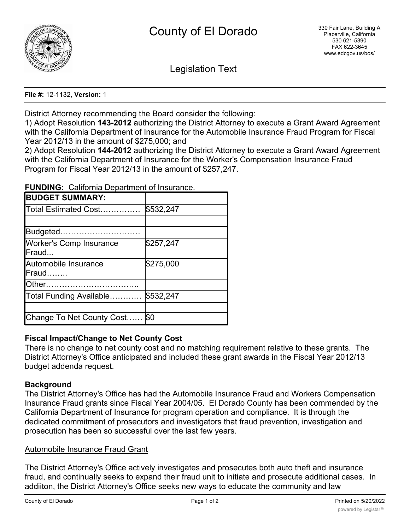

Legislation Text

#### **File #:** 12-1132, **Version:** 1

District Attorney recommending the Board consider the following:

1) Adopt Resolution **143-2012** authorizing the District Attorney to execute a Grant Award Agreement with the California Department of Insurance for the Automobile Insurance Fraud Program for Fiscal Year 2012/13 in the amount of \$275,000; and

2) Adopt Resolution **144-2012** authorizing the District Attorney to execute a Grant Award Agreement with the California Department of Insurance for the Worker's Compensation Insurance Fraud Program for Fiscal Year 2012/13 in the amount of \$257,247.

**FUNDING:** California Department of Insurance.

| <b>BUDGET SUMMARY:</b>                          |           |
|-------------------------------------------------|-----------|
| Total Estimated Cost                            | \$532,247 |
|                                                 |           |
| Budgeted                                        |           |
| <b>Worker's Comp Insurance</b><br><b>IFraud</b> | \$257,247 |
| Automobile Insurance<br>Fraud                   | \$275,000 |
| Other.                                          |           |
| Total Funding Available                         | \$532,247 |
|                                                 |           |
| Change To Net County Cost                       | \$0       |

# **Fiscal Impact/Change to Net County Cost**

There is no change to net county cost and no matching requirement relative to these grants. The District Attorney's Office anticipated and included these grant awards in the Fiscal Year 2012/13 budget addenda request.

### **Background**

The District Attorney's Office has had the Automobile Insurance Fraud and Workers Compensation Insurance Fraud grants since Fiscal Year 2004/05. El Dorado County has been commended by the California Department of Insurance for program operation and compliance. It is through the dedicated commitment of prosecutors and investigators that fraud prevention, investigation and prosecution has been so successful over the last few years.

# Automobile Insurance Fraud Grant

The District Attorney's Office actively investigates and prosecutes both auto theft and insurance fraud, and continually seeks to expand their fraud unit to initiate and prosecute additional cases. In addiiton, the District Attorney's Office seeks new ways to educate the community and law